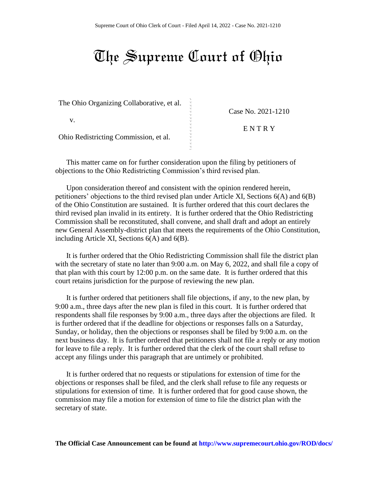## The Supreme Court of Ohio

|   | Case No. 2021-1210 |
|---|--------------------|
|   |                    |
|   | ENTRY              |
|   |                    |
|   |                    |
| ∾ |                    |
|   | $\sim$ $\sim$      |

This matter came on for further consideration upon the filing by petitioners of objections to the Ohio Redistricting Commission's third revised plan.

Upon consideration thereof and consistent with the opinion rendered herein, petitioners' objections to the third revised plan under Article XI, Sections 6(A) and 6(B) of the Ohio Constitution are sustained. It is further ordered that this court declares the third revised plan invalid in its entirety. It is further ordered that the Ohio Redistricting Commission shall be reconstituted, shall convene, and shall draft and adopt an entirely new General Assembly-district plan that meets the requirements of the Ohio Constitution, including Article XI, Sections 6(A) and 6(B).

It is further ordered that the Ohio Redistricting Commission shall file the district plan with the secretary of state no later than 9:00 a.m. on May 6, 2022, and shall file a copy of that plan with this court by 12:00 p.m. on the same date. It is further ordered that this court retains jurisdiction for the purpose of reviewing the new plan.

It is further ordered that petitioners shall file objections, if any, to the new plan, by 9:00 a.m., three days after the new plan is filed in this court. It is further ordered that respondents shall file responses by 9:00 a.m., three days after the objections are filed. It is further ordered that if the deadline for objections or responses falls on a Saturday, Sunday, or holiday, then the objections or responses shall be filed by 9:00 a.m. on the next business day. It is further ordered that petitioners shall not file a reply or any motion for leave to file a reply. It is further ordered that the clerk of the court shall refuse to accept any filings under this paragraph that are untimely or prohibited.

It is further ordered that no requests or stipulations for extension of time for the objections or responses shall be filed, and the clerk shall refuse to file any requests or stipulations for extension of time. It is further ordered that for good cause shown, the commission may file a motion for extension of time to file the district plan with the secretary of state.